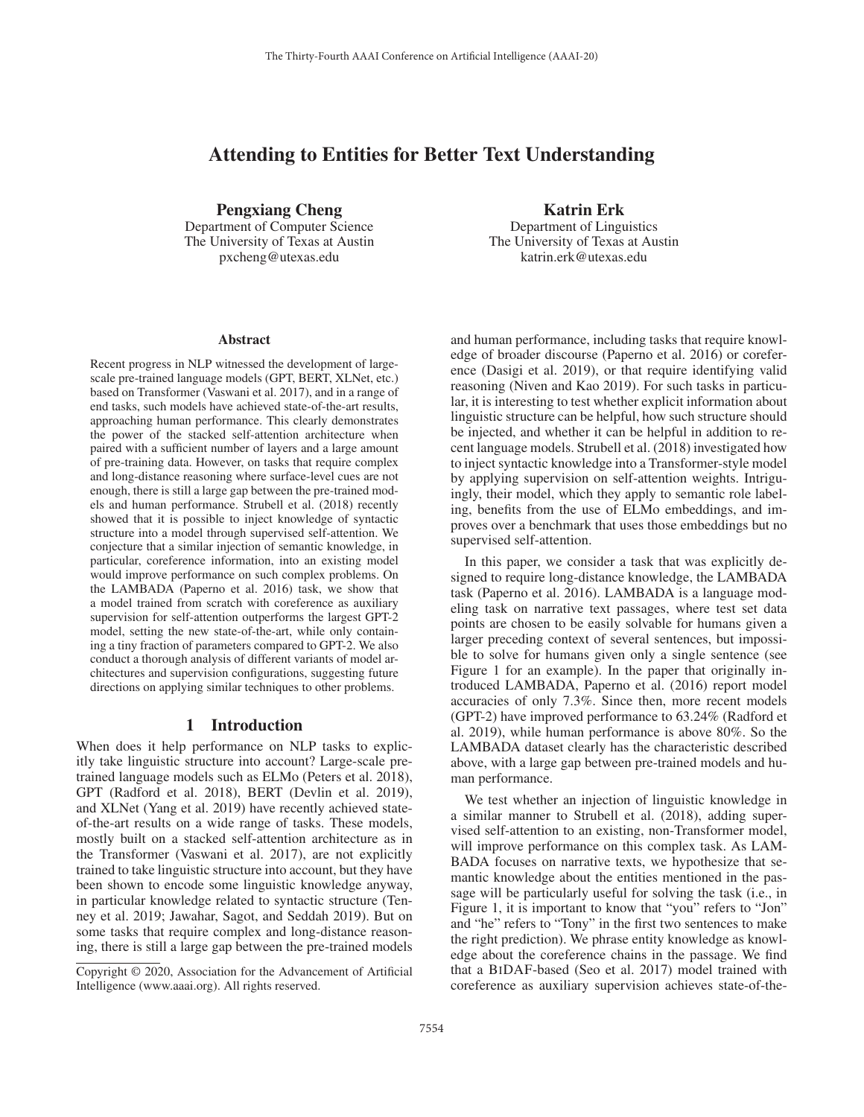# Attending to Entities for Better Text Understanding

Pengxiang Cheng Department of Computer Science The University of Texas at Austin pxcheng@utexas.edu

#### Abstract

Recent progress in NLP witnessed the development of largescale pre-trained language models (GPT, BERT, XLNet, etc.) based on Transformer (Vaswani et al. 2017), and in a range of end tasks, such models have achieved state-of-the-art results, approaching human performance. This clearly demonstrates the power of the stacked self-attention architecture when paired with a sufficient number of layers and a large amount of pre-training data. However, on tasks that require complex and long-distance reasoning where surface-level cues are not enough, there is still a large gap between the pre-trained models and human performance. Strubell et al. (2018) recently showed that it is possible to inject knowledge of syntactic structure into a model through supervised self-attention. We conjecture that a similar injection of semantic knowledge, in particular, coreference information, into an existing model would improve performance on such complex problems. On the LAMBADA (Paperno et al. 2016) task, we show that a model trained from scratch with coreference as auxiliary supervision for self-attention outperforms the largest GPT-2 model, setting the new state-of-the-art, while only containing a tiny fraction of parameters compared to GPT-2. We also conduct a thorough analysis of different variants of model architectures and supervision configurations, suggesting future directions on applying similar techniques to other problems.

#### 1 Introduction

When does it help performance on NLP tasks to explicitly take linguistic structure into account? Large-scale pretrained language models such as ELMo (Peters et al. 2018), GPT (Radford et al. 2018), BERT (Devlin et al. 2019), and XLNet (Yang et al. 2019) have recently achieved stateof-the-art results on a wide range of tasks. These models, mostly built on a stacked self-attention architecture as in the Transformer (Vaswani et al. 2017), are not explicitly trained to take linguistic structure into account, but they have been shown to encode some linguistic knowledge anyway, in particular knowledge related to syntactic structure (Tenney et al. 2019; Jawahar, Sagot, and Seddah 2019). But on some tasks that require complex and long-distance reasoning, there is still a large gap between the pre-trained models

Katrin Erk Department of Linguistics The University of Texas at Austin katrin.erk@utexas.edu

and human performance, including tasks that require knowledge of broader discourse (Paperno et al. 2016) or coreference (Dasigi et al. 2019), or that require identifying valid reasoning (Niven and Kao 2019). For such tasks in particular, it is interesting to test whether explicit information about linguistic structure can be helpful, how such structure should be injected, and whether it can be helpful in addition to recent language models. Strubell et al. (2018) investigated how to inject syntactic knowledge into a Transformer-style model by applying supervision on self-attention weights. Intriguingly, their model, which they apply to semantic role labeling, benefits from the use of ELMo embeddings, and improves over a benchmark that uses those embeddings but no supervised self-attention.

In this paper, we consider a task that was explicitly designed to require long-distance knowledge, the LAMBADA task (Paperno et al. 2016). LAMBADA is a language modeling task on narrative text passages, where test set data points are chosen to be easily solvable for humans given a larger preceding context of several sentences, but impossible to solve for humans given only a single sentence (see Figure 1 for an example). In the paper that originally introduced LAMBADA, Paperno et al. (2016) report model accuracies of only 7.3%. Since then, more recent models (GPT-2) have improved performance to 63.24% (Radford et al. 2019), while human performance is above 80%. So the LAMBADA dataset clearly has the characteristic described above, with a large gap between pre-trained models and human performance.

We test whether an injection of linguistic knowledge in a similar manner to Strubell et al. (2018), adding supervised self-attention to an existing, non-Transformer model, will improve performance on this complex task. As LAM-BADA focuses on narrative texts, we hypothesize that semantic knowledge about the entities mentioned in the passage will be particularly useful for solving the task (i.e., in Figure 1, it is important to know that "you" refers to "Jon" and "he" refers to "Tony" in the first two sentences to make the right prediction). We phrase entity knowledge as knowledge about the coreference chains in the passage. We find that a BIDAF-based (Seo et al. 2017) model trained with coreference as auxiliary supervision achieves state-of-the-

Copyright © 2020, Association for the Advancement of Artificial Intelligence (www.aaai.org). All rights reserved.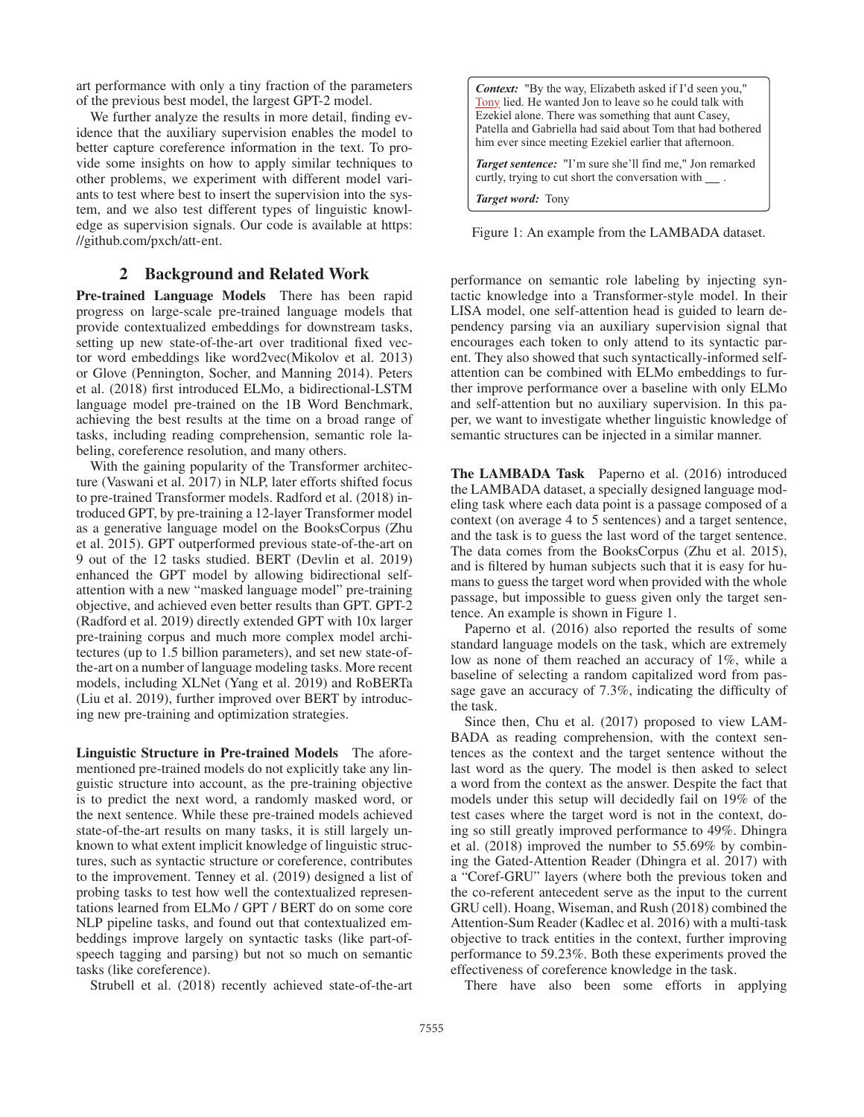art performance with only a tiny fraction of the parameters of the previous best model, the largest GPT-2 model.

We further analyze the results in more detail, finding evidence that the auxiliary supervision enables the model to better capture coreference information in the text. To provide some insights on how to apply similar techniques to other problems, we experiment with different model variants to test where best to insert the supervision into the system, and we also test different types of linguistic knowledge as supervision signals. Our code is available at https: //github.com/pxch/att-ent.

## 2 Background and Related Work

Pre-trained Language Models There has been rapid progress on large-scale pre-trained language models that provide contextualized embeddings for downstream tasks, setting up new state-of-the-art over traditional fixed vector word embeddings like word2vec(Mikolov et al. 2013) or Glove (Pennington, Socher, and Manning 2014). Peters et al. (2018) first introduced ELMo, a bidirectional-LSTM language model pre-trained on the 1B Word Benchmark, achieving the best results at the time on a broad range of tasks, including reading comprehension, semantic role labeling, coreference resolution, and many others.

With the gaining popularity of the Transformer architecture (Vaswani et al. 2017) in NLP, later efforts shifted focus to pre-trained Transformer models. Radford et al. (2018) introduced GPT, by pre-training a 12-layer Transformer model as a generative language model on the BooksCorpus (Zhu et al. 2015). GPT outperformed previous state-of-the-art on 9 out of the 12 tasks studied. BERT (Devlin et al. 2019) enhanced the GPT model by allowing bidirectional selfattention with a new "masked language model" pre-training objective, and achieved even better results than GPT. GPT-2 (Radford et al. 2019) directly extended GPT with 10x larger pre-training corpus and much more complex model architectures (up to 1.5 billion parameters), and set new state-ofthe-art on a number of language modeling tasks. More recent models, including XLNet (Yang et al. 2019) and RoBERTa (Liu et al. 2019), further improved over BERT by introducing new pre-training and optimization strategies.

Linguistic Structure in Pre-trained Models The aforementioned pre-trained models do not explicitly take any linguistic structure into account, as the pre-training objective is to predict the next word, a randomly masked word, or the next sentence. While these pre-trained models achieved state-of-the-art results on many tasks, it is still largely unknown to what extent implicit knowledge of linguistic structures, such as syntactic structure or coreference, contributes to the improvement. Tenney et al. (2019) designed a list of probing tasks to test how well the contextualized representations learned from ELMo / GPT / BERT do on some core NLP pipeline tasks, and found out that contextualized embeddings improve largely on syntactic tasks (like part-ofspeech tagging and parsing) but not so much on semantic tasks (like coreference).

Strubell et al. (2018) recently achieved state-of-the-art

*Context:* "By the way, Elizabeth asked if I'd seen you," Tony lied. He wanted Jon to leave so he could talk with Ezekiel alone. There was something that aunt Casey, Patella and Gabriella had said about Tom that had bothered him ever since meeting Ezekiel earlier that afternoon.

*Target sentence:* "I'm sure she'll find me," Jon remarked curtly, trying to cut short the conversation with  $\_\_$ .

*Target word:* Tony

Figure 1: An example from the LAMBADA dataset.

performance on semantic role labeling by injecting syntactic knowledge into a Transformer-style model. In their LISA model, one self-attention head is guided to learn dependency parsing via an auxiliary supervision signal that encourages each token to only attend to its syntactic parent. They also showed that such syntactically-informed selfattention can be combined with ELMo embeddings to further improve performance over a baseline with only ELMo and self-attention but no auxiliary supervision. In this paper, we want to investigate whether linguistic knowledge of semantic structures can be injected in a similar manner.

The LAMBADA Task Paperno et al. (2016) introduced the LAMBADA dataset, a specially designed language modeling task where each data point is a passage composed of a context (on average 4 to 5 sentences) and a target sentence, and the task is to guess the last word of the target sentence. The data comes from the BooksCorpus (Zhu et al. 2015), and is filtered by human subjects such that it is easy for humans to guess the target word when provided with the whole passage, but impossible to guess given only the target sentence. An example is shown in Figure 1.

Paperno et al. (2016) also reported the results of some standard language models on the task, which are extremely low as none of them reached an accuracy of 1%, while a baseline of selecting a random capitalized word from passage gave an accuracy of 7.3%, indicating the difficulty of the task.

Since then, Chu et al. (2017) proposed to view LAM-BADA as reading comprehension, with the context sentences as the context and the target sentence without the last word as the query. The model is then asked to select a word from the context as the answer. Despite the fact that models under this setup will decidedly fail on 19% of the test cases where the target word is not in the context, doing so still greatly improved performance to 49%. Dhingra et al. (2018) improved the number to 55.69% by combining the Gated-Attention Reader (Dhingra et al. 2017) with a "Coref-GRU" layers (where both the previous token and the co-referent antecedent serve as the input to the current GRU cell). Hoang, Wiseman, and Rush (2018) combined the Attention-Sum Reader (Kadlec et al. 2016) with a multi-task objective to track entities in the context, further improving performance to 59.23%. Both these experiments proved the effectiveness of coreference knowledge in the task.

There have also been some efforts in applying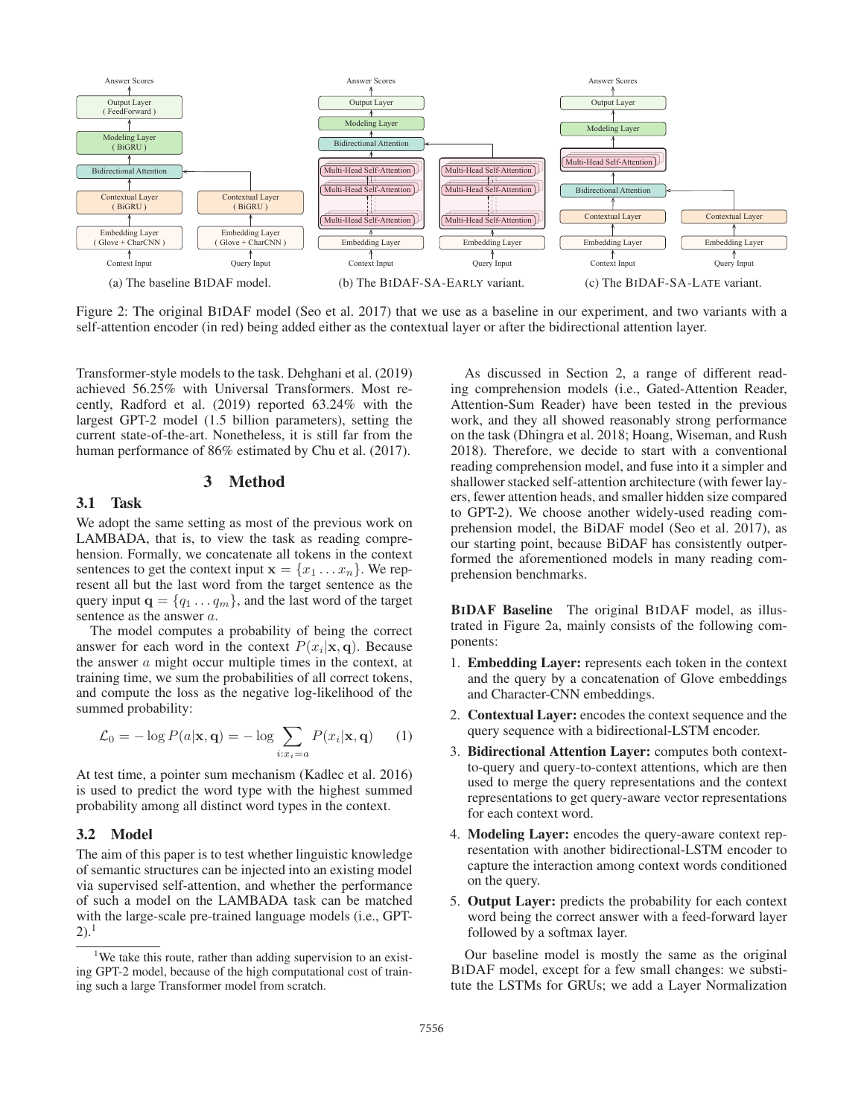

Figure 2: The original BIDAF model (Seo et al. 2017) that we use as a baseline in our experiment, and two variants with a self-attention encoder (in red) being added either as the contextual layer or after the bidirectional attention layer.

Transformer-style models to the task. Dehghani et al. (2019) achieved 56.25% with Universal Transformers. Most recently, Radford et al. (2019) reported 63.24% with the largest GPT-2 model (1.5 billion parameters), setting the current state-of-the-art. Nonetheless, it is still far from the human performance of 86% estimated by Chu et al. (2017).

#### 3 Method

## 3.1 Task

We adopt the same setting as most of the previous work on LAMBADA, that is, to view the task as reading comprehension. Formally, we concatenate all tokens in the context sentences to get the context input  $\mathbf{x} = \{x_1 \dots x_n\}$ . We represent all but the last word from the target sentence as the query input  $\mathbf{q} = \{q_1 \dots q_m\}$ , and the last word of the target sentence as the answer a.

The model computes a probability of being the correct answer for each word in the context  $P(x_i|\mathbf{x}, \mathbf{q})$ . Because the answer a might occur multiple times in the context, at training time, we sum the probabilities of all correct tokens, and compute the loss as the negative log-likelihood of the summed probability:

$$
\mathcal{L}_0 = -\log P(a|\mathbf{x}, \mathbf{q}) = -\log \sum_{i: x_i = a} P(x_i|\mathbf{x}, \mathbf{q}) \qquad (1)
$$

At test time, a pointer sum mechanism (Kadlec et al. 2016) is used to predict the word type with the highest summed probability among all distinct word types in the context.

## 3.2 Model

The aim of this paper is to test whether linguistic knowledge of semantic structures can be injected into an existing model via supervised self-attention, and whether the performance of such a model on the LAMBADA task can be matched with the large-scale pre-trained language models (i.e., GPT- $(2).<sup>1</sup>$ 

As discussed in Section 2, a range of different reading comprehension models (i.e., Gated-Attention Reader, Attention-Sum Reader) have been tested in the previous work, and they all showed reasonably strong performance on the task (Dhingra et al. 2018; Hoang, Wiseman, and Rush 2018). Therefore, we decide to start with a conventional reading comprehension model, and fuse into it a simpler and shallower stacked self-attention architecture (with fewer layers, fewer attention heads, and smaller hidden size compared to GPT-2). We choose another widely-used reading comprehension model, the BiDAF model (Seo et al. 2017), as our starting point, because BiDAF has consistently outperformed the aforementioned models in many reading comprehension benchmarks.

BIDAF Baseline The original BIDAF model, as illustrated in Figure 2a, mainly consists of the following components:

- 1. Embedding Layer: represents each token in the context and the query by a concatenation of Glove embeddings and Character-CNN embeddings.
- 2. Contextual Layer: encodes the context sequence and the query sequence with a bidirectional-LSTM encoder.
- 3. Bidirectional Attention Layer: computes both contextto-query and query-to-context attentions, which are then used to merge the query representations and the context representations to get query-aware vector representations for each context word.
- 4. Modeling Layer: encodes the query-aware context representation with another bidirectional-LSTM encoder to capture the interaction among context words conditioned on the query.
- 5. Output Layer: predicts the probability for each context word being the correct answer with a feed-forward layer followed by a softmax layer.

Our baseline model is mostly the same as the original BIDAF model, except for a few small changes: we substitute the LSTMs for GRUs; we add a Layer Normalization

<sup>&</sup>lt;sup>1</sup>We take this route, rather than adding supervision to an existing GPT-2 model, because of the high computational cost of training such a large Transformer model from scratch.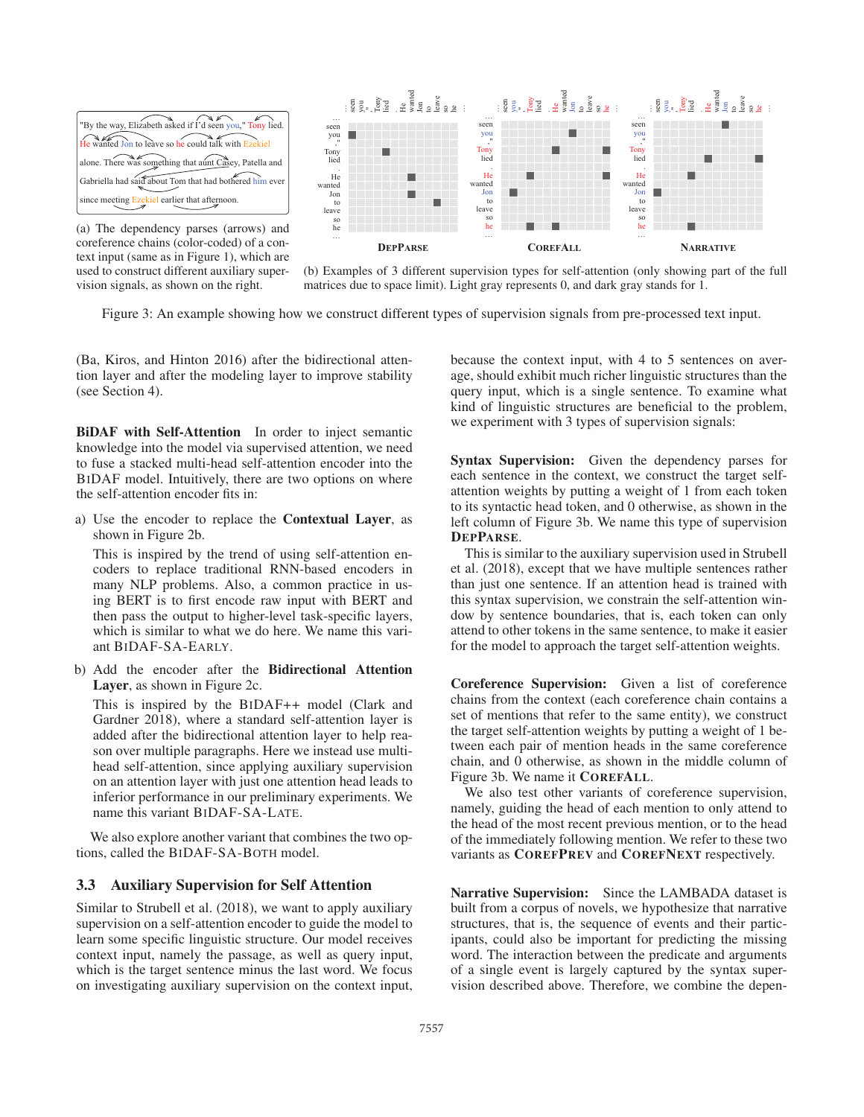

(a) The dependency parses (arrows) and coreference chains (color-coded) of a context input (same as in Figure 1), which are used to construct different auxiliary supervision signals, as shown on the right.



(b) Examples of 3 different supervision types for self-attention (only showing part of the full matrices due to space limit). Light gray represents 0, and dark gray stands for 1.

Figure 3: An example showing how we construct different types of supervision signals from pre-processed text input.

(Ba, Kiros, and Hinton 2016) after the bidirectional attention layer and after the modeling layer to improve stability (see Section 4).

BiDAF with Self-Attention In order to inject semantic knowledge into the model via supervised attention, we need to fuse a stacked multi-head self-attention encoder into the BIDAF model. Intuitively, there are two options on where the self-attention encoder fits in:

a) Use the encoder to replace the Contextual Layer, as shown in Figure 2b.

This is inspired by the trend of using self-attention encoders to replace traditional RNN-based encoders in many NLP problems. Also, a common practice in using BERT is to first encode raw input with BERT and then pass the output to higher-level task-specific layers, which is similar to what we do here. We name this variant BIDAF-SA-EARLY.

b) Add the encoder after the Bidirectional Attention Layer, as shown in Figure 2c.

This is inspired by the BIDAF++ model (Clark and Gardner 2018), where a standard self-attention layer is added after the bidirectional attention layer to help reason over multiple paragraphs. Here we instead use multihead self-attention, since applying auxiliary supervision on an attention layer with just one attention head leads to inferior performance in our preliminary experiments. We name this variant BIDAF-SA-LATE.

We also explore another variant that combines the two options, called the BIDAF-SA-BOTH model.

#### 3.3 Auxiliary Supervision for Self Attention

Similar to Strubell et al. (2018), we want to apply auxiliary supervision on a self-attention encoder to guide the model to learn some specific linguistic structure. Our model receives context input, namely the passage, as well as query input, which is the target sentence minus the last word. We focus on investigating auxiliary supervision on the context input,

because the context input, with 4 to 5 sentences on average, should exhibit much richer linguistic structures than the query input, which is a single sentence. To examine what kind of linguistic structures are beneficial to the problem, we experiment with 3 types of supervision signals:

Syntax Supervision: Given the dependency parses for each sentence in the context, we construct the target selfattention weights by putting a weight of 1 from each token to its syntactic head token, and 0 otherwise, as shown in the left column of Figure 3b. We name this type of supervision DEPPARSE.

This is similar to the auxiliary supervision used in Strubell et al. (2018), except that we have multiple sentences rather than just one sentence. If an attention head is trained with this syntax supervision, we constrain the self-attention window by sentence boundaries, that is, each token can only attend to other tokens in the same sentence, to make it easier for the model to approach the target self-attention weights.

Coreference Supervision: Given a list of coreference chains from the context (each coreference chain contains a set of mentions that refer to the same entity), we construct the target self-attention weights by putting a weight of 1 between each pair of mention heads in the same coreference chain, and 0 otherwise, as shown in the middle column of Figure 3b. We name it COREFALL.

We also test other variants of coreference supervision, namely, guiding the head of each mention to only attend to the head of the most recent previous mention, or to the head of the immediately following mention. We refer to these two variants as COREFPREV and COREFNEXT respectively.

Narrative Supervision: Since the LAMBADA dataset is built from a corpus of novels, we hypothesize that narrative structures, that is, the sequence of events and their participants, could also be important for predicting the missing word. The interaction between the predicate and arguments of a single event is largely captured by the syntax supervision described above. Therefore, we combine the depen-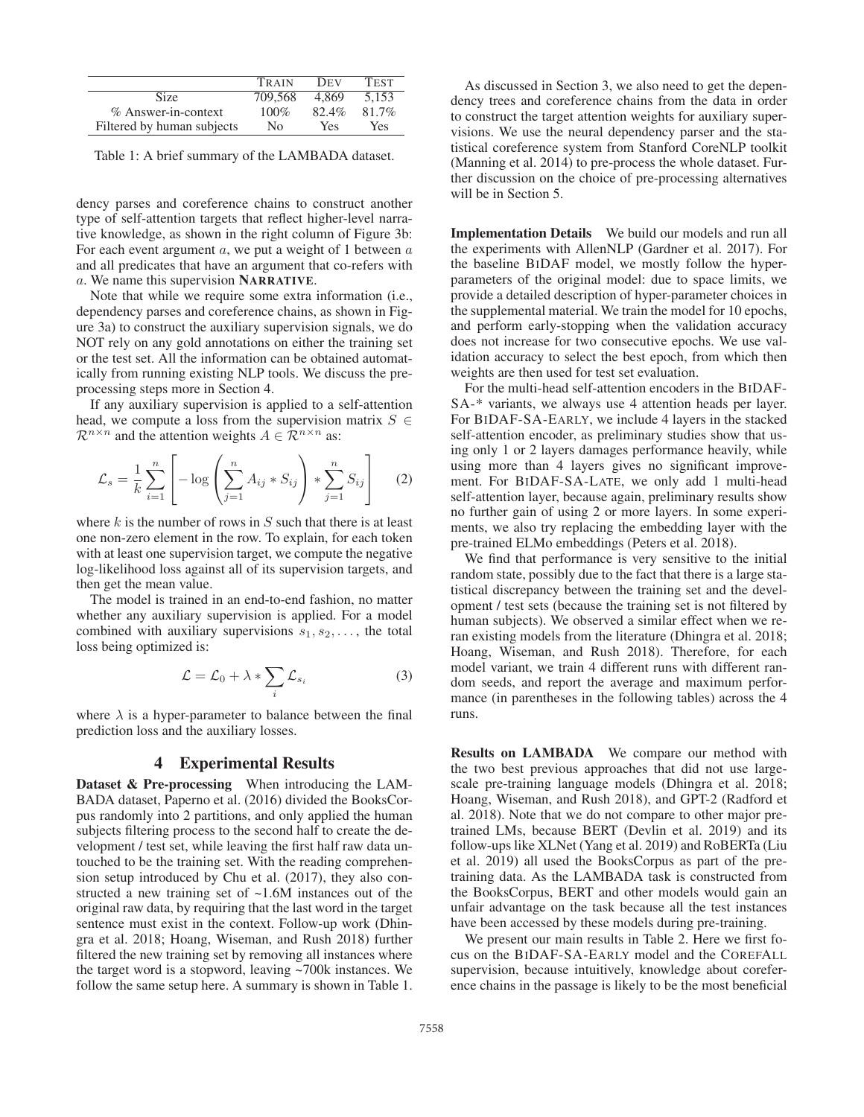|                            | TRAIN   | <b>DEV</b> | <b>TEST</b> |
|----------------------------|---------|------------|-------------|
| Size                       | 709.568 | 4.869      | 5.153       |
| $%$ Answer-in-context      | $100\%$ | 82.4%      | 81.7%       |
| Filtered by human subjects | No      | Yes        | Yes.        |

Table 1: A brief summary of the LAMBADA dataset.

dency parses and coreference chains to construct another type of self-attention targets that reflect higher-level narrative knowledge, as shown in the right column of Figure 3b: For each event argument  $a$ , we put a weight of 1 between  $a$ and all predicates that have an argument that co-refers with a. We name this supervision NARRATIVE.

Note that while we require some extra information (i.e., dependency parses and coreference chains, as shown in Figure 3a) to construct the auxiliary supervision signals, we do NOT rely on any gold annotations on either the training set or the test set. All the information can be obtained automatically from running existing NLP tools. We discuss the preprocessing steps more in Section 4.

If any auxiliary supervision is applied to a self-attention head, we compute a loss from the supervision matrix  $S \in$  $\mathcal{R}^{n \times n}$  and the attention weights  $A \in \mathcal{R}^{n \times n}$  as:

$$
\mathcal{L}_s = \frac{1}{k} \sum_{i=1}^n \left[ -\log \left( \sum_{j=1}^n A_{ij} * S_{ij} \right) * \sum_{j=1}^n S_{ij} \right] \tag{2}
$$

where k is the number of rows in  $S$  such that there is at least one non-zero element in the row. To explain, for each token with at least one supervision target, we compute the negative log-likelihood loss against all of its supervision targets, and then get the mean value.

The model is trained in an end-to-end fashion, no matter whether any auxiliary supervision is applied. For a model combined with auxiliary supervisions  $s_1, s_2, \ldots$ , the total loss being optimized is:

$$
\mathcal{L} = \mathcal{L}_0 + \lambda * \sum_i \mathcal{L}_{s_i} \tag{3}
$$

where  $\lambda$  is a hyper-parameter to balance between the final prediction loss and the auxiliary losses.

## 4 Experimental Results

Dataset & Pre-processing When introducing the LAM-BADA dataset, Paperno et al. (2016) divided the BooksCorpus randomly into 2 partitions, and only applied the human subjects filtering process to the second half to create the development / test set, while leaving the first half raw data untouched to be the training set. With the reading comprehension setup introduced by Chu et al. (2017), they also constructed a new training set of ~1.6M instances out of the original raw data, by requiring that the last word in the target sentence must exist in the context. Follow-up work (Dhingra et al. 2018; Hoang, Wiseman, and Rush 2018) further filtered the new training set by removing all instances where the target word is a stopword, leaving ~700k instances. We follow the same setup here. A summary is shown in Table 1.

As discussed in Section 3, we also need to get the dependency trees and coreference chains from the data in order to construct the target attention weights for auxiliary supervisions. We use the neural dependency parser and the statistical coreference system from Stanford CoreNLP toolkit (Manning et al. 2014) to pre-process the whole dataset. Further discussion on the choice of pre-processing alternatives will be in Section 5.

Implementation Details We build our models and run all the experiments with AllenNLP (Gardner et al. 2017). For the baseline BIDAF model, we mostly follow the hyperparameters of the original model: due to space limits, we provide a detailed description of hyper-parameter choices in the supplemental material. We train the model for 10 epochs, and perform early-stopping when the validation accuracy does not increase for two consecutive epochs. We use validation accuracy to select the best epoch, from which then weights are then used for test set evaluation.

For the multi-head self-attention encoders in the BIDAF-SA-\* variants, we always use 4 attention heads per layer. For BIDAF-SA-EARLY, we include 4 layers in the stacked self-attention encoder, as preliminary studies show that using only 1 or 2 layers damages performance heavily, while using more than 4 layers gives no significant improvement. For BIDAF-SA-LATE, we only add 1 multi-head self-attention layer, because again, preliminary results show no further gain of using 2 or more layers. In some experiments, we also try replacing the embedding layer with the pre-trained ELMo embeddings (Peters et al. 2018).

We find that performance is very sensitive to the initial random state, possibly due to the fact that there is a large statistical discrepancy between the training set and the development / test sets (because the training set is not filtered by human subjects). We observed a similar effect when we reran existing models from the literature (Dhingra et al. 2018; Hoang, Wiseman, and Rush 2018). Therefore, for each model variant, we train 4 different runs with different random seeds, and report the average and maximum performance (in parentheses in the following tables) across the 4 runs.

Results on LAMBADA We compare our method with the two best previous approaches that did not use largescale pre-training language models (Dhingra et al. 2018; Hoang, Wiseman, and Rush 2018), and GPT-2 (Radford et al. 2018). Note that we do not compare to other major pretrained LMs, because BERT (Devlin et al. 2019) and its follow-ups like XLNet (Yang et al. 2019) and RoBERTa (Liu et al. 2019) all used the BooksCorpus as part of the pretraining data. As the LAMBADA task is constructed from the BooksCorpus, BERT and other models would gain an unfair advantage on the task because all the test instances have been accessed by these models during pre-training.

We present our main results in Table 2. Here we first focus on the BIDAF-SA-EARLY model and the COREFALL supervision, because intuitively, knowledge about coreference chains in the passage is likely to be the most beneficial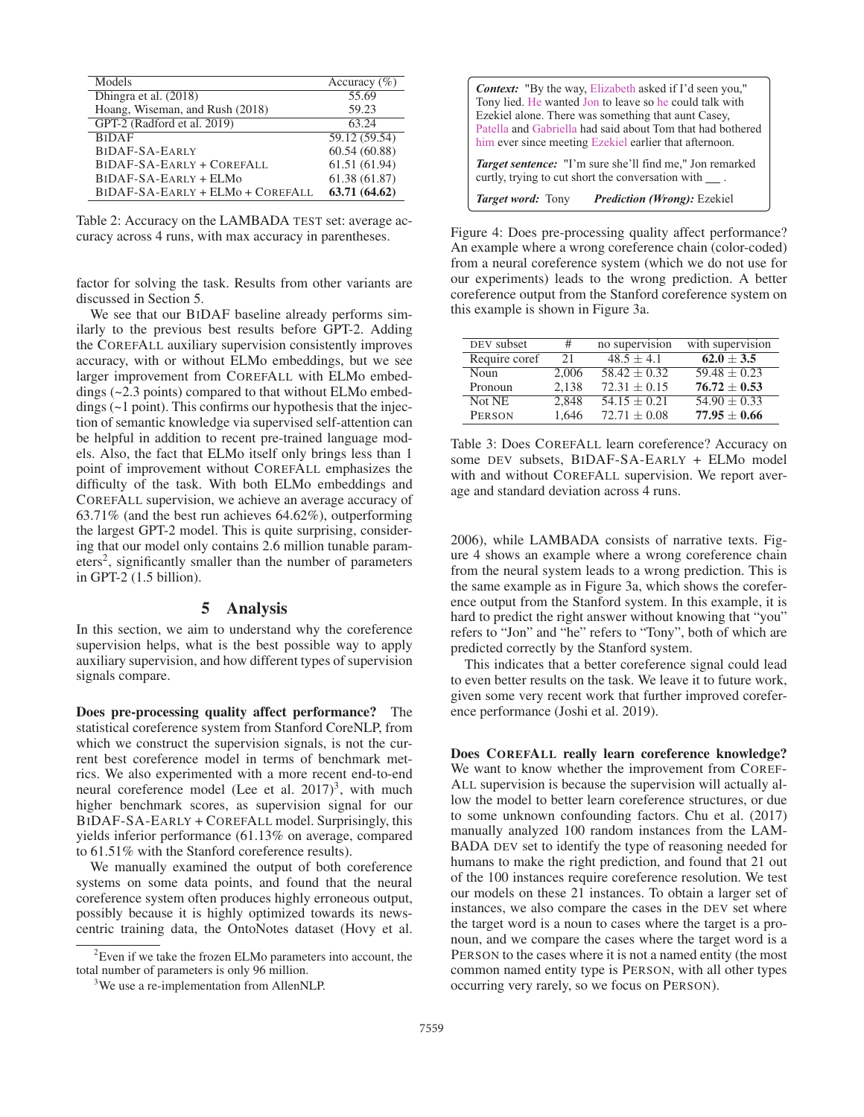| Models                           | Accuracy $(\% )$ |
|----------------------------------|------------------|
| Dhingra et al. (2018)            | 55.69            |
| Hoang, Wiseman, and Rush (2018)  | 59.23            |
| GPT-2 (Radford et al. 2019)      | 63.24            |
| <b>BIDAF</b>                     | 59.12 (59.54)    |
| BIDAF-SA-EARLY                   | 60.54 (60.88)    |
| BIDAF-SA-EARLY + COREFALL        | 61.51 (61.94)    |
| $BIDAF-SA-EARLY + ELMo$          | 61.38 (61.87)    |
| BIDAF-SA-EARLY + ELMo + COREFALL | 63.71 (64.62)    |

Table 2: Accuracy on the LAMBADA TEST set: average accuracy across 4 runs, with max accuracy in parentheses.

factor for solving the task. Results from other variants are discussed in Section 5.

We see that our BIDAF baseline already performs similarly to the previous best results before GPT-2. Adding the COREFALL auxiliary supervision consistently improves accuracy, with or without ELMo embeddings, but we see larger improvement from COREFALL with ELMo embeddings (~2.3 points) compared to that without ELMo embeddings (~1 point). This confirms our hypothesis that the injection of semantic knowledge via supervised self-attention can be helpful in addition to recent pre-trained language models. Also, the fact that ELMo itself only brings less than 1 point of improvement without COREFALL emphasizes the difficulty of the task. With both ELMo embeddings and COREFALL supervision, we achieve an average accuracy of 63.71% (and the best run achieves 64.62%), outperforming the largest GPT-2 model. This is quite surprising, considering that our model only contains 2.6 million tunable param $eters<sup>2</sup>$ , significantly smaller than the number of parameters in GPT-2 (1.5 billion).

## 5 Analysis

In this section, we aim to understand why the coreference supervision helps, what is the best possible way to apply auxiliary supervision, and how different types of supervision signals compare.

Does pre-processing quality affect performance? The statistical coreference system from Stanford CoreNLP, from which we construct the supervision signals, is not the current best coreference model in terms of benchmark metrics. We also experimented with a more recent end-to-end neural coreference model (Lee et al.  $2017$ )<sup>3</sup>, with much higher benchmark scores, as supervision signal for our BIDAF-SA-EARLY + COREFALL model. Surprisingly, this yields inferior performance (61.13% on average, compared to 61.51% with the Stanford coreference results).

We manually examined the output of both coreference systems on some data points, and found that the neural coreference system often produces highly erroneous output, possibly because it is highly optimized towards its newscentric training data, the OntoNotes dataset (Hovy et al.

| <b>Context:</b> "By the way, Elizabeth asked if I'd seen you,"<br>Tony lied. He wanted Jon to leave so he could talk with<br>Ezekiel alone. There was something that aunt Casey,<br>Patella and Gabriella had said about Tom that had bothered<br>him ever since meeting Ezekiel earlier that afternoon. |  |  |
|----------------------------------------------------------------------------------------------------------------------------------------------------------------------------------------------------------------------------------------------------------------------------------------------------------|--|--|
| <i>Target sentence</i> : "I'm sure she'll find me," Jon remarked<br>curtly, trying to cut short the conversation with .                                                                                                                                                                                  |  |  |
| <b>Target word: Tony</b><br><b>Prediction (Wrong): Ezekiel</b>                                                                                                                                                                                                                                           |  |  |

Figure 4: Does pre-processing quality affect performance? An example where a wrong coreference chain (color-coded) from a neural coreference system (which we do not use for our experiments) leads to the wrong prediction. A better coreference output from the Stanford coreference system on this example is shown in Figure 3a.

| DEV subset    | #     | no supervision | with supervision |
|---------------|-------|----------------|------------------|
| Require coref | 21    | $48.5 + 4.1$   | $62.0 + 3.5$     |
| Noun          | 2.006 | $58.42 + 0.32$ | $59.48 + 0.23$   |
| Pronoun       | 2.138 | $72.31 + 0.15$ | $76.72 + 0.53$   |
| Not NE        | 2.848 | $54.15 + 0.21$ | $54.90 + 0.33$   |
| <b>PERSON</b> | 1,646 | $72.71 + 0.08$ | $77.95 + 0.66$   |

Table 3: Does COREFALL learn coreference? Accuracy on some DEV subsets, BIDAF-SA-EARLY + ELMo model with and without COREFALL supervision. We report average and standard deviation across 4 runs.

2006), while LAMBADA consists of narrative texts. Figure 4 shows an example where a wrong coreference chain from the neural system leads to a wrong prediction. This is the same example as in Figure 3a, which shows the coreference output from the Stanford system. In this example, it is hard to predict the right answer without knowing that "you" refers to "Jon" and "he" refers to "Tony", both of which are predicted correctly by the Stanford system.

This indicates that a better coreference signal could lead to even better results on the task. We leave it to future work, given some very recent work that further improved coreference performance (Joshi et al. 2019).

Does COREFALL really learn coreference knowledge? We want to know whether the improvement from COREF-ALL supervision is because the supervision will actually allow the model to better learn coreference structures, or due to some unknown confounding factors. Chu et al. (2017) manually analyzed 100 random instances from the LAM-BADA DEV set to identify the type of reasoning needed for humans to make the right prediction, and found that 21 out of the 100 instances require coreference resolution. We test our models on these 21 instances. To obtain a larger set of instances, we also compare the cases in the DEV set where the target word is a noun to cases where the target is a pronoun, and we compare the cases where the target word is a PERSON to the cases where it is not a named entity (the most common named entity type is PERSON, with all other types occurring very rarely, so we focus on PERSON).

 $2$ Even if we take the frozen ELMo parameters into account, the total number of parameters is only 96 million.

<sup>&</sup>lt;sup>3</sup>We use a re-implementation from AllenNLP.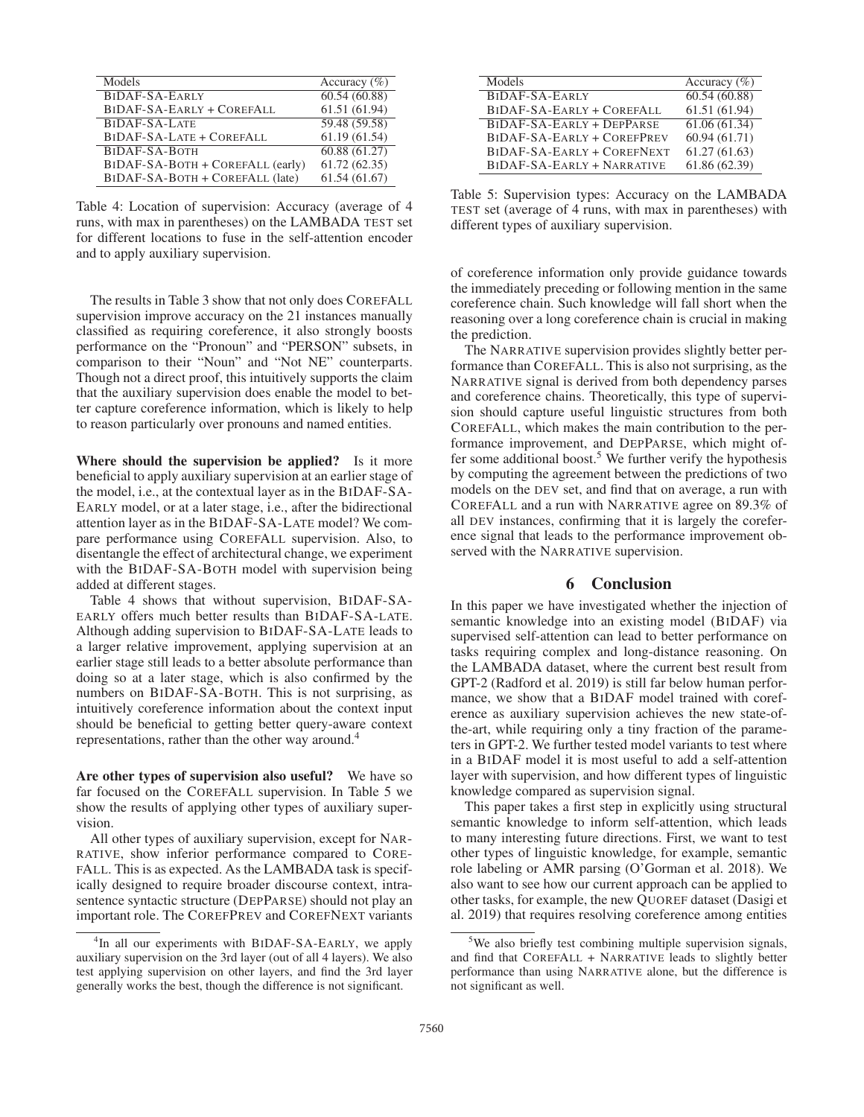| Models                           | Accuracy $(\% )$ |
|----------------------------------|------------------|
| BIDAF-SA-EARLY                   | 60.54(60.88)     |
| BIDAF-SA-EARLY + COREFALL        | 61.51 (61.94)    |
| BIDAF-SA-LATE                    | 59.48 (59.58)    |
| BIDAF-SA-LATE + COREFALL         | 61.19(61.54)     |
| BIDAF-SA-BOTH                    | 60.88(61.27)     |
| BIDAF-SA-BOTH + COREFALL (early) | 61.72(62.35)     |
| BIDAF-SA-BOTH + COREFALL (late)  | 61.54(61.67)     |

Table 4: Location of supervision: Accuracy (average of 4 runs, with max in parentheses) on the LAMBADA TEST set for different locations to fuse in the self-attention encoder and to apply auxiliary supervision.

The results in Table 3 show that not only does COREFALL supervision improve accuracy on the 21 instances manually classified as requiring coreference, it also strongly boosts performance on the "Pronoun" and "PERSON" subsets, in comparison to their "Noun" and "Not NE" counterparts. Though not a direct proof, this intuitively supports the claim that the auxiliary supervision does enable the model to better capture coreference information, which is likely to help to reason particularly over pronouns and named entities.

Where should the supervision be applied? Is it more beneficial to apply auxiliary supervision at an earlier stage of the model, i.e., at the contextual layer as in the BIDAF-SA-EARLY model, or at a later stage, i.e., after the bidirectional attention layer as in the BIDAF-SA-LATE model? We compare performance using COREFALL supervision. Also, to disentangle the effect of architectural change, we experiment with the BIDAF-SA-BOTH model with supervision being added at different stages.

Table 4 shows that without supervision, BIDAF-SA-EARLY offers much better results than BIDAF-SA-LATE. Although adding supervision to BIDAF-SA-LATE leads to a larger relative improvement, applying supervision at an earlier stage still leads to a better absolute performance than doing so at a later stage, which is also confirmed by the numbers on BIDAF-SA-BOTH. This is not surprising, as intuitively coreference information about the context input should be beneficial to getting better query-aware context representations, rather than the other way around.<sup>4</sup>

Are other types of supervision also useful? We have so far focused on the COREFALL supervision. In Table 5 we show the results of applying other types of auxiliary supervision.

All other types of auxiliary supervision, except for NAR-RATIVE, show inferior performance compared to CORE-FALL. This is as expected. As the LAMBADA task is specifically designed to require broader discourse context, intrasentence syntactic structure (DEPPARSE) should not play an important role. The COREFPREV and COREFNEXT variants

| Models                     | Accuracy $(\%)$ |
|----------------------------|-----------------|
| BIDAF-SA-EARLY             | 60.54(60.88)    |
| BIDAF-SA-EARLY + COREFALL  | 61.51 (61.94)   |
| BIDAF-SA-EARLY + DEPPARSE  | 61.06 (61.34)   |
| BIDAF-SA-EARLY + COREFPREV | 60.94 (61.71)   |
| BIDAF-SA-EARLY + COREFNEXT | 61.27(61.63)    |
| BIDAF-SA-EARLY + NARRATIVE | 61.86 (62.39)   |

Table 5: Supervision types: Accuracy on the LAMBADA TEST set (average of 4 runs, with max in parentheses) with different types of auxiliary supervision.

of coreference information only provide guidance towards the immediately preceding or following mention in the same coreference chain. Such knowledge will fall short when the reasoning over a long coreference chain is crucial in making the prediction.

The NARRATIVE supervision provides slightly better performance than COREFALL. This is also not surprising, as the NARRATIVE signal is derived from both dependency parses and coreference chains. Theoretically, this type of supervision should capture useful linguistic structures from both COREFALL, which makes the main contribution to the performance improvement, and DEPPARSE, which might offer some additional boost.<sup>5</sup> We further verify the hypothesis by computing the agreement between the predictions of two models on the DEV set, and find that on average, a run with COREFALL and a run with NARRATIVE agree on 89.3% of all DEV instances, confirming that it is largely the coreference signal that leads to the performance improvement observed with the NARRATIVE supervision.

#### 6 Conclusion

In this paper we have investigated whether the injection of semantic knowledge into an existing model (BIDAF) via supervised self-attention can lead to better performance on tasks requiring complex and long-distance reasoning. On the LAMBADA dataset, where the current best result from GPT-2 (Radford et al. 2019) is still far below human performance, we show that a BIDAF model trained with coreference as auxiliary supervision achieves the new state-ofthe-art, while requiring only a tiny fraction of the parameters in GPT-2. We further tested model variants to test where in a BIDAF model it is most useful to add a self-attention layer with supervision, and how different types of linguistic knowledge compared as supervision signal.

This paper takes a first step in explicitly using structural semantic knowledge to inform self-attention, which leads to many interesting future directions. First, we want to test other types of linguistic knowledge, for example, semantic role labeling or AMR parsing (O'Gorman et al. 2018). We also want to see how our current approach can be applied to other tasks, for example, the new QUOREF dataset (Dasigi et al. 2019) that requires resolving coreference among entities

<sup>&</sup>lt;sup>4</sup>In all our experiments with BIDAF-SA-EARLY, we apply auxiliary supervision on the 3rd layer (out of all 4 layers). We also test applying supervision on other layers, and find the 3rd layer generally works the best, though the difference is not significant.

<sup>&</sup>lt;sup>5</sup>We also briefly test combining multiple supervision signals, and find that COREFALL + NARRATIVE leads to slightly better performance than using NARRATIVE alone, but the difference is not significant as well.